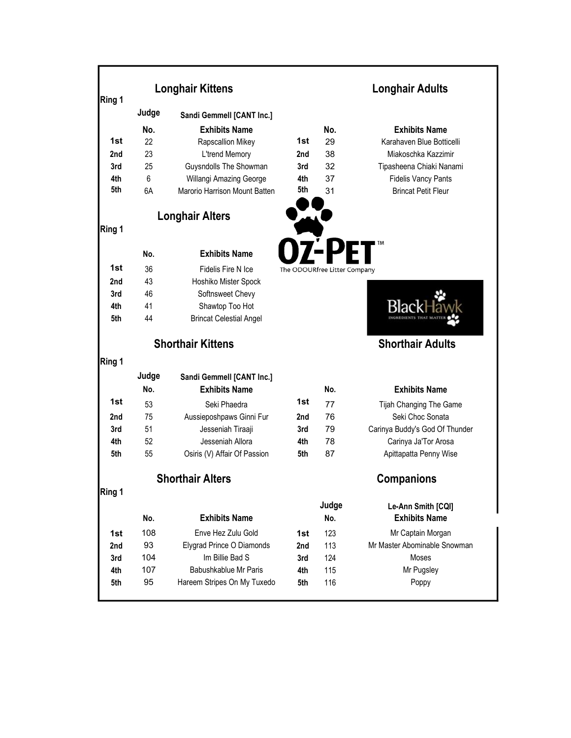|            | <b>Longhair Kittens</b> |                                | <b>Longhair Adults</b> |                              |                                            |
|------------|-------------------------|--------------------------------|------------------------|------------------------------|--------------------------------------------|
| Ring 1     | Judge                   | Sandi Gemmell [CANT Inc.]      |                        |                              |                                            |
|            | No.                     | <b>Exhibits Name</b>           |                        | No.                          | <b>Exhibits Name</b>                       |
| 1st        | 22                      | Rapscallion Mikey              | 1st                    | 29                           | Karahaven Blue Botticelli                  |
| 2nd        | 23                      | L'trend Memory                 | 2nd                    | 38                           | Miakoschka Kazzimir                        |
| 3rd        | 25                      | Guysndolls The Showman         | 3rd                    | 32                           | Tipasheena Chiaki Nanami                   |
| 4th        | 6                       | Willangi Amazing George        | 4th                    | 37                           | <b>Fidelis Vancy Pants</b>                 |
| 5th        | 6A                      | Marorio Harrison Mount Batten  | 5th                    | 31                           | <b>Brincat Petit Fleur</b>                 |
|            |                         | <b>Longhair Alters</b>         |                        |                              |                                            |
| Ring 1     |                         |                                |                        |                              |                                            |
|            | No.                     | <b>Exhibits Name</b>           |                        |                              |                                            |
| 1st        | 36                      | Fidelis Fire N Ice             |                        | The ODOURfree Litter Company |                                            |
| 2nd        | 43                      | Hoshiko Mister Spock           |                        |                              |                                            |
| 3rd        | 46                      | Softnsweet Chevy               |                        |                              |                                            |
| 4th        | 41                      | Shawtop Too Hot                |                        |                              |                                            |
| 5th        | 44                      | <b>Brincat Celestial Angel</b> |                        |                              |                                            |
|            |                         | <b>Shorthair Kittens</b>       |                        |                              | <b>Shorthair Adults</b>                    |
| Ring 1     |                         |                                |                        |                              |                                            |
|            | Judge                   | Sandi Gemmell [CANT Inc.]      |                        |                              |                                            |
|            | No.                     | <b>Exhibits Name</b>           |                        | No.                          | <b>Exhibits Name</b>                       |
| 1st        | 53                      | Seki Phaedra                   | 1st                    | 77                           | Tijah Changing The Game                    |
| 2nd        | 75                      | Aussieposhpaws Ginni Fur       | 2nd                    | 76                           | Seki Choc Sonata                           |
| 3rd        | 51                      | Jesseniah Tiraaji              | 3rd                    | 79                           | Carinya Buddy's God Of Thunder             |
| 4th        | 52                      | Jesseniah Allora               | 4th                    | 78                           | Carinya Ja'Tor Arosa                       |
| 5th        | 55                      | Osiris (V) Affair Of Passion   | 5th                    | 87                           | Apittapatta Penny Wise                     |
|            |                         | <b>Shorthair Alters</b>        |                        |                              | <b>Companions</b>                          |
| Ring 1     |                         |                                |                        |                              |                                            |
|            | No.                     | <b>Exhibits Name</b>           |                        | Judge<br>No.                 | Le-Ann Smith [CQI]<br><b>Exhibits Name</b> |
| 1st        | 108                     | Enve Hez Zulu Gold             | 1st                    | 123                          | Mr Captain Morgan                          |
| 2nd        | 93                      | Elygrad Prince O Diamonds      | 2nd                    | 113                          | Mr Master Abominable Snowman               |
|            | 104                     | Im Billie Bad S                | 3rd                    | 124                          | Moses                                      |
|            |                         |                                |                        |                              |                                            |
| 3rd<br>4th | 107                     | Babushkablue Mr Paris          | 4th                    | 115                          | Mr Pugsley                                 |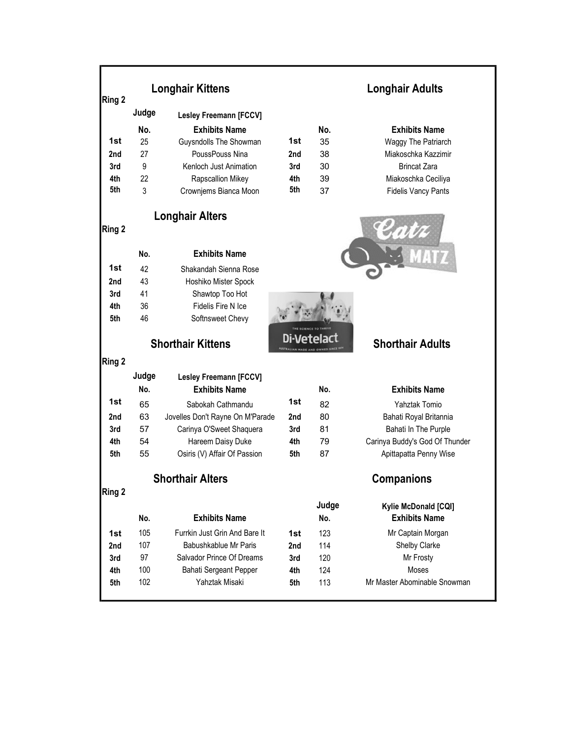| Ring 2 |       | <b>Longhair Kittens</b>          |     | <b>Longhair Adults</b> |                                |  |
|--------|-------|----------------------------------|-----|------------------------|--------------------------------|--|
|        | Judge | <b>Lesley Freemann [FCCV]</b>    |     |                        |                                |  |
|        | No.   | <b>Exhibits Name</b>             |     | No.                    | <b>Exhibits Name</b>           |  |
| 1st    | 25    | Guysndolls The Showman           | 1st | 35                     | Waggy The Patriarch            |  |
| 2nd    | 27    | PoussPouss Nina                  | 2nd | 38                     | Miakoschka Kazzimir            |  |
| 3rd    | 9     | Kenloch Just Animation           | 3rd | 30                     | <b>Brincat Zara</b>            |  |
| 4th    | 22    | Rapscallion Mikey                | 4th | 39                     | Miakoschka Ceciliya            |  |
| 5th    | 3     | Crownjems Bianca Moon            | 5th | 37                     | <b>Fidelis Vancy Pants</b>     |  |
| Ring 2 |       | <b>Longhair Alters</b>           |     |                        |                                |  |
|        |       |                                  |     |                        |                                |  |
|        | No.   | <b>Exhibits Name</b>             |     |                        |                                |  |
| 1st    | 42    | Shakandah Sienna Rose            |     |                        |                                |  |
| 2nd    | 43    | Hoshiko Mister Spock             |     |                        |                                |  |
| 3rd    | 41    | Shawtop Too Hot                  |     |                        |                                |  |
| 4th    | 36    | Fidelis Fire N Ice               |     |                        |                                |  |
| 5th    | 46    | Softnsweet Chevy                 |     |                        |                                |  |
|        |       | <b>Shorthair Kittens</b>         |     |                        | <b>Shorthair Adults</b>        |  |
| Ring 2 |       |                                  |     |                        |                                |  |
|        | Judge | <b>Lesley Freemann [FCCV]</b>    |     |                        |                                |  |
|        | No.   | <b>Exhibits Name</b>             |     | No.                    | <b>Exhibits Name</b>           |  |
| 1st    | 65    | Sabokah Cathmandu                | 1st | 82                     | Yahztak Tomio                  |  |
| 2nd    | 63    | Jovelles Don't Rayne On M'Parade | 2nd | 80                     | Bahati Royal Britannia         |  |
| 3rd    | 57    | Carinya O'Sweet Shaquera         | 3rd | 81                     | Bahati In The Purple           |  |
| 4th    | 54    | Hareem Daisy Duke                | 4th | 79                     | Carinya Buddy's God Of Thunder |  |
| 5th    | 55    | Osiris (V) Affair Of Passion     | 5th | 87                     | Apittapatta Penny Wise         |  |
|        |       | <b>Shorthair Alters</b>          |     | <b>Companions</b>      |                                |  |
| Ring 2 |       |                                  |     |                        |                                |  |
|        |       |                                  |     | Judge                  | Kylie McDonald [CQI]           |  |
|        | No.   | <b>Exhibits Name</b>             |     | No.                    | <b>Exhibits Name</b>           |  |
| 1st    | 105   | Furrkin Just Grin And Bare It    | 1st | 123                    | Mr Captain Morgan              |  |
| 2nd    | 107   | Babushkablue Mr Paris            | 2nd | 114                    | Shelby Clarke                  |  |
| 3rd    | 97    | Salvador Prince Of Dreams        | 3rd | 120                    | Mr Frosty                      |  |
| 4th    | 100   | Bahati Sergeant Pepper           | 4th | 124                    | Moses                          |  |
| 5th    | 102   | Yahztak Misaki                   | 5th | 113                    | Mr Master Abominable Snowman   |  |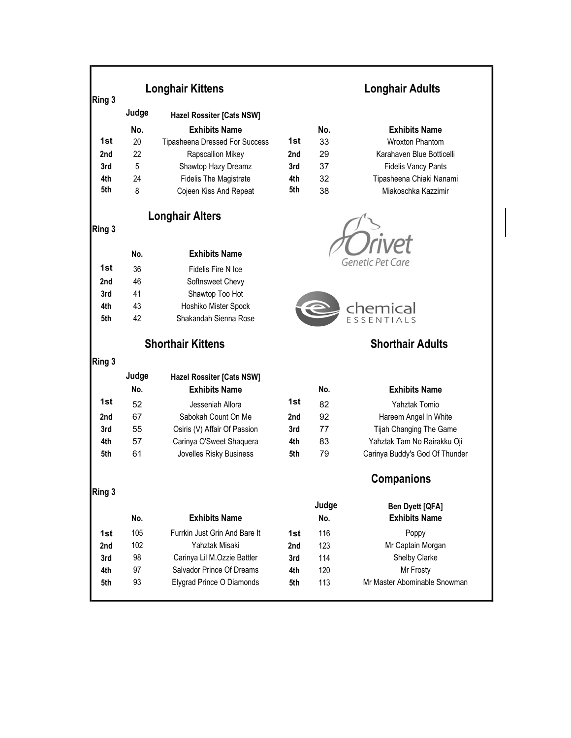| Ring 3 |       | <b>Longhair Kittens</b>        |     | <b>Longhair Adults</b> |                                                |  |
|--------|-------|--------------------------------|-----|------------------------|------------------------------------------------|--|
|        | Judge | Hazel Rossiter [Cats NSW]      |     |                        |                                                |  |
|        | No.   | <b>Exhibits Name</b>           |     | No.                    | <b>Exhibits Name</b>                           |  |
| 1st    | 20    | Tipasheena Dressed For Success | 1st | 33                     | <b>Wroxton Phantom</b>                         |  |
| 2nd    | 22    | Rapscallion Mikey              | 2nd | 29                     | Karahaven Blue Botticelli                      |  |
| 3rd    | 5     | Shawtop Hazy Dreamz            | 3rd | 37                     | <b>Fidelis Vancy Pants</b>                     |  |
| 4th    | 24    | <b>Fidelis The Magistrate</b>  | 4th | 32                     | Tipasheena Chiaki Nanami                       |  |
| 5th    | 8     | Cojeen Kiss And Repeat         | 5th | 38                     | Miakoschka Kazzimir                            |  |
|        |       | <b>Longhair Alters</b>         |     |                        |                                                |  |
| Ring 3 |       |                                |     |                        |                                                |  |
|        | No.   | <b>Exhibits Name</b>           |     |                        |                                                |  |
| 1st    | 36    | Fidelis Fire N Ice             |     |                        | <b>Genetic Pet Care</b>                        |  |
| 2nd    | 46    | Softnsweet Chevy               |     |                        |                                                |  |
| 3rd    | 41    | Shawtop Too Hot                |     |                        |                                                |  |
| 4th    | 43    | Hoshiko Mister Spock           |     |                        | chemical                                       |  |
| 5th    | 42    | Shakandah Sienna Rose          |     |                        | <b>FSSENTIALS</b>                              |  |
|        |       | <b>Shorthair Kittens</b>       |     |                        | <b>Shorthair Adults</b>                        |  |
| Ring 3 |       |                                |     |                        |                                                |  |
|        | Judge | Hazel Rossiter [Cats NSW]      |     |                        |                                                |  |
|        | No.   | <b>Exhibits Name</b>           |     | No.                    | <b>Exhibits Name</b>                           |  |
| 1st    | 52    | Jesseniah Allora               | 1st | 82                     | Yahztak Tomio                                  |  |
| 2nd    | 67    | Sabokah Count On Me            | 2nd | 92                     | Hareem Angel In White                          |  |
| 3rd    | 55    | Osiris (V) Affair Of Passion   | 3rd | 77                     | Tijah Changing The Game                        |  |
| 4th    | 57    | Carinya O'Sweet Shaquera       | 4th | 83                     | Yahztak Tam No Rairakku Oji                    |  |
| 5th    | 61    | Jovelles Risky Business        | 5th | 79                     | Carinya Buddy's God Of Thunder                 |  |
|        |       |                                |     |                        | Companions                                     |  |
| Ring 3 |       |                                |     | Judge                  |                                                |  |
|        | No.   | <b>Exhibits Name</b>           |     | No.                    | <b>Ben Dyett [QFA]</b><br><b>Exhibits Name</b> |  |
| 1st    | 105   | Furrkin Just Grin And Bare It  | 1st | 116                    | Poppy                                          |  |
| 2nd    | 102   | Yahztak Misaki                 | 2nd | 123                    | Mr Captain Morgan                              |  |
| 3rd    | 98    | Carinya Lil M.Ozzie Battler    | 3rd | 114                    | Shelby Clarke                                  |  |
| 4th    | 97    | Salvador Prince Of Dreams      | 4th | 120                    | Mr Frosty                                      |  |
|        | 93    | Elygrad Prince O Diamonds      |     |                        |                                                |  |